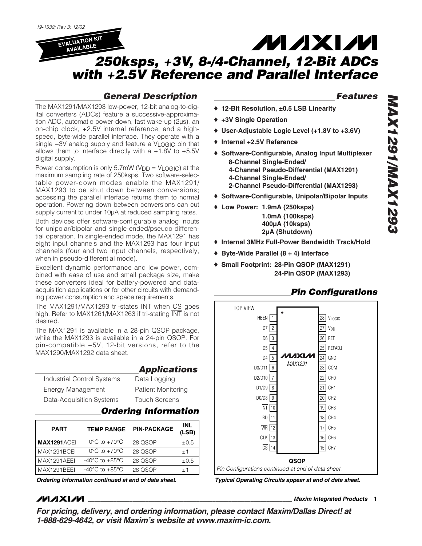**EVALUATION KIT AVAILABLE**

# **MAXM**

# *250ksps, +3V, 8-/4-Channel, 12-Bit ADCs with +2.5V Reference and Parallel Interface*

## *General Description*

The MAX1291/MAX1293 low-power, 12-bit analog-to-digital converters (ADCs) feature a successive-approximation ADC, automatic power-down, fast wake-up (2µs), an on-chip clock, +2.5V internal reference, and a highspeed, byte-wide parallel interface. They operate with a single +3V analog supply and feature a VLOGIC pin that allows them to interface directly with a  $+1.8V$  to  $+5.5V$ digital supply.

Power consumption is only  $5.7$ mW ( $V_{DD} = V_{LOGIC}$ ) at the maximum sampling rate of 250ksps. Two software-selectable power-down modes enable the MAX1291/ MAX1293 to be shut down between conversions; accessing the parallel interface returns them to normal operation. Powering down between conversions can cut supply current to under 10µA at reduced sampling rates.

Both devices offer software-configurable analog inputs for unipolar/bipolar and single-ended/pseudo-differential operation. In single-ended mode, the MAX1291 has eight input channels and the MAX1293 has four input channels (four and two input channels, respectively, when in pseudo-differential mode).

Excellent dynamic performance and low power, combined with ease of use and small package size, make these converters ideal for battery-powered and dataacquisition applications or for other circuits with demanding power consumption and space requirements.

The MAX1291/MAX1293 tri-states INT when CS goes high. Refer to MAX1261/MAX1263 if tri-stating INT is not desired.

The MAX1291 is available in a 28-pin QSOP package, while the MAX1293 is available in a 24-pin QSOP. For pin-compatible +5V, 12-bit versions, refer to the MAX1290/MAX1292 data sheet.

|                            | <b>Applications</b>       |
|----------------------------|---------------------------|
| Industrial Control Systems | Data Logging              |
| <b>Energy Management</b>   | <b>Patient Monitoring</b> |
| Data-Acquisition Systems   | <b>Touch Screens</b>      |

### *Ordering Information*

| <b>PART</b>        | <b>TEMP RANGE</b>                  | <b>PIN-PACKAGE</b> | <b>INL</b><br>(LSB) |
|--------------------|------------------------------------|--------------------|---------------------|
| <b>MAX1291ACEI</b> | $0^{\circ}$ C to $+70^{\circ}$ C   | 28 QSOP            | $\pm 0.5$           |
| MAX1291BCEI        | $0^{\circ}$ C to $+70^{\circ}$ C   | 28 QSOP            | $+1$                |
| MAX1291AEEI        | $-40^{\circ}$ C to $+85^{\circ}$ C | 28 QSOP            | $\pm 0.5$           |
| MAX1291BEEI        | $-40^{\circ}$ C to $+85^{\circ}$ C | 28 QSOP            | $+1$                |

### *Features*

- ♦ **12-Bit Resolution, ±0.5 LSB Linearity**
- ♦ **+3V Single Operation**
- ♦ **User-Adjustable Logic Level (+1.8V to +3.6V)**
- ♦ **Internal +2.5V Reference**
- ♦ **Software-Configurable, Analog Input Multiplexer 8-Channel Single-Ended/ 4-Channel Pseudo-Differential (MAX1291) 4-Channel Single-Ended/ 2-Channel Pseudo-Differential (MAX1293)**
- ♦ **Software-Configurable, Unipolar/Bipolar Inputs**
- ♦ **Low Power: 1.9mA (250ksps) 1.0mA (100ksps) 400µA (10ksps) 2µA (Shutdown)**
- ♦ **Internal 3MHz Full-Power Bandwidth Track/Hold**
- ♦ **Byte-Wide Parallel (8 + 4) Interface**
- ♦ **Small Footprint: 28-Pin QSOP (MAX1291) 24-Pin QSOP (MAX1293)**

### *Pin Configurations*

TOP VIEW HBEN<sup>[</sup> 1 28 VLOGIC D<sub>7</sub> ر ا 27 V<sub>DD</sub> D6 3 26 REF D<sub>5</sub> 4 25 REFADJ илхім 5 D4 24 GND *MAX1291* COM  $23$ 6 D3/D11 D2/D10 7 22 CH0 D1/D9 8 21 CH1 9 D0/D8 20 CH2 10 INT 19 CH3 11 RD 18 CH4 WR  $12$ 17 CH5 **CLK** 13 CLK | 13 | 16 | CH6  $\overline{CS}$  14  $\overline{CS}$  15 CH7 **QSOP** *Pin Configurations continued at end of data sheet.*

**MAXIM** 

**\_\_\_\_\_\_\_\_\_\_\_\_\_\_\_\_\_\_\_\_\_\_\_\_\_\_\_\_\_\_\_\_\_\_\_\_\_\_\_\_\_\_\_\_\_\_\_\_\_\_\_\_\_\_\_\_\_\_\_\_\_\_\_\_** *Maxim Integrated Products* **1**

*For pricing, delivery, and ordering information, please contact Maxim/Dallas Direct! at 1-888-629-4642, or visit Maxim's website at www.maxim-ic.com.*

*Ordering Information continued at end of data sheet. Typical Operating Circuits appear at end of data sheet.*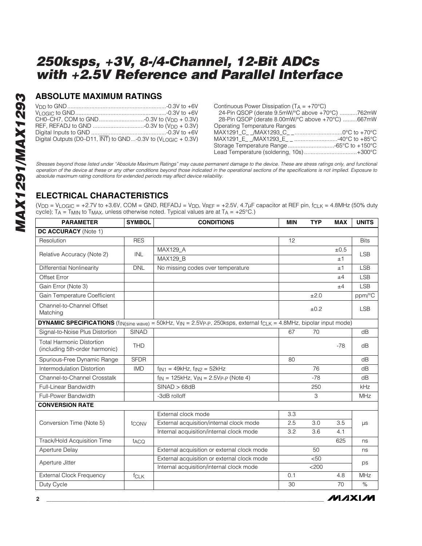### **ABSOLUTE MAXIMUM RATINGS**

| Digital Outputs (D0-D11, INT) to GND-0.3V to (VLOGIC + 0.3V) |  |
|--------------------------------------------------------------|--|

| Continuous Power Dissipation ( $T_A = +70^{\circ}C$ ) |
|-------------------------------------------------------|
| 24-Pin QSOP (derate 9.5mW/°C above +70°C) 762mW       |
| 28-Pin QSOP (derate 8.00mW/°C above +70°C) 667mW      |
| <b>Operating Temperature Ranges</b>                   |
|                                                       |
|                                                       |
|                                                       |
| Lead Temperature (soldering, 10s) +300°C              |
|                                                       |

*Stresses beyond those listed under "Absolute Maximum Ratings" may cause permanent damage to the device. These are stress ratings only, and functional operation of the device at these or any other conditions beyond those indicated in the operational sections of the specifications is not implied. Exposure to absolute maximum rating conditions for extended periods may affect device reliability.*

### **ELECTRICAL CHARACTERISTICS**

(V<sub>DD</sub> = V<sub>LOGIC</sub> = +2.7V to +3.6V, COM = GND, REFADJ = V<sub>DD</sub>, V<sub>REF</sub> = +2.5V, 4.7µF capacitor at REF pin, f<sub>CLK</sub> = 4.8MHz (50% duty cycle); TA = TMIN to TMAX, unless otherwise noted. Typical values are at TA =  $+25^{\circ}$ C.)

| <b>PARAMETER</b>                                                   | <b>SYMBOL</b> | <b>CONDITIONS</b>                                                                                                                                            | <b>MIN</b> | <b>TYP</b> | <b>MAX</b> | <b>UNITS</b> |
|--------------------------------------------------------------------|---------------|--------------------------------------------------------------------------------------------------------------------------------------------------------------|------------|------------|------------|--------------|
| DC ACCURACY (Note 1)                                               |               |                                                                                                                                                              |            |            |            |              |
| Resolution                                                         | <b>RES</b>    |                                                                                                                                                              | 12         |            |            | <b>Bits</b>  |
| Relative Accuracy (Note 2)                                         | <b>INL</b>    | <b>MAX129 A</b>                                                                                                                                              |            |            | ±0.5       | <b>LSB</b>   |
|                                                                    |               | MAX129_B                                                                                                                                                     |            |            | ±1         |              |
| <b>Differential Nonlinearity</b>                                   | <b>DNL</b>    | No missing codes over temperature                                                                                                                            |            |            | ±1         | <b>LSB</b>   |
| Offset Error                                                       |               |                                                                                                                                                              |            |            | ±4         | <b>LSB</b>   |
| Gain Error (Note 3)                                                |               |                                                                                                                                                              |            |            | ±4         | <b>LSB</b>   |
| Gain Temperature Coefficient                                       |               |                                                                                                                                                              |            | ±2.0       |            | ppm/°C       |
| Channel-to-Channel Offset<br>Matching                              |               |                                                                                                                                                              |            | ±0.2       |            | <b>LSB</b>   |
|                                                                    |               | <b>DYNAMIC SPECIFICATIONS</b> (f <sub>IN(sine wave) = 50kHz, V<sub>IN</sub> = 2.5Vp-p, 250ksps, external f<sub>CLK</sub> = 4.8MHz, bipolar input mode)</sub> |            |            |            |              |
| Signal-to-Noise Plus Distortion                                    | <b>SINAD</b>  |                                                                                                                                                              | 67         | 70         |            | dB           |
| <b>Total Harmonic Distortion</b><br>(including 5th-order harmonic) | <b>THD</b>    |                                                                                                                                                              |            |            | $-78$      | dB           |
| Spurious-Free Dynamic Range                                        | <b>SFDR</b>   |                                                                                                                                                              | 80         |            |            | dB           |
| Intermodulation Distortion                                         | <b>IMD</b>    | $f_{\text{IN1}} = 49kHz$ , $f_{\text{IN2}} = 52kHz$                                                                                                          |            | 76         |            | dB           |
| Channel-to-Channel Crosstalk                                       |               | $f_{IN}$ = 125kHz, $V_{IN}$ = 2.5Vp-p (Note 4)                                                                                                               |            | $-78$      |            | dB           |
| Full-Linear Bandwidth                                              |               | SINAD > 68dB                                                                                                                                                 |            | 250        |            | kHz          |
| Full-Power Bandwidth                                               |               | -3dB rolloff                                                                                                                                                 |            | 3          |            | <b>MHz</b>   |
| <b>CONVERSION RATE</b>                                             |               |                                                                                                                                                              |            |            |            |              |
|                                                                    |               | External clock mode                                                                                                                                          | 3.3        |            |            |              |
| Conversion Time (Note 5)                                           | tconv         | External acquisition/internal clock mode                                                                                                                     | 2.5        | 3.0        | 3.5        | $\mu s$      |
|                                                                    |               | Internal acquisition/internal clock mode                                                                                                                     | 3.2        | 3.6        | 4.1        |              |
| Track/Hold Acquisition Time                                        | taco          |                                                                                                                                                              |            |            | 625        | ns           |
| Aperture Delay                                                     |               | External acquisition or external clock mode                                                                                                                  |            | 50         |            | ns           |
| Aperture Jitter                                                    |               | External acquisition or external clock mode                                                                                                                  |            | < 50       |            | ps           |
|                                                                    |               | Internal acquisition/internal clock mode                                                                                                                     |            | $<$ 200    |            |              |
| <b>External Clock Frequency</b>                                    | fcLK          |                                                                                                                                                              | 0.1        |            | 4.8        | MHz          |
| Duty Cycle                                                         |               |                                                                                                                                                              | 30         |            | 70         | $\%$         |

**MAXM**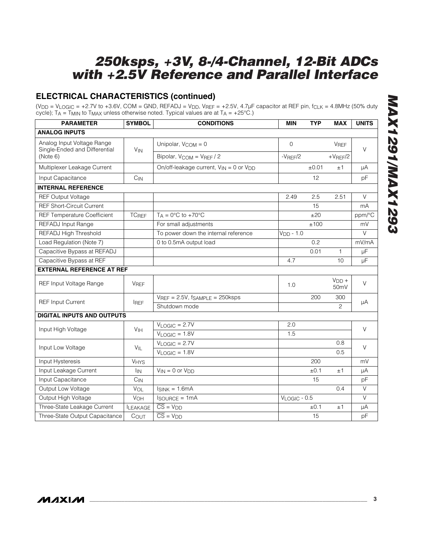### **ELECTRICAL CHARACTERISTICS (continued)**

(V<sub>DD</sub> = V<sub>LOGIC</sub> = +2.7V to +3.6V, COM = GND, REFADJ = V<sub>DD</sub>, V<sub>REF</sub> = +2.5V, 4.7µF capacitor at REF pin, f<sub>CLK</sub> = 4.8MHz (50% duty cycle); TA = TMIN to TMAX unless otherwise noted. Typical values are at TA =  $+25^{\circ}$ C.)

| <b>PARAMETER</b>                                            | <b>SYMBOL</b>           | <b>CONDITIONS</b>                                 | <b>MIN</b>        | <b>TYP</b> | <b>MAX</b>                   | <b>UNITS</b> |  |
|-------------------------------------------------------------|-------------------------|---------------------------------------------------|-------------------|------------|------------------------------|--------------|--|
| <b>ANALOG INPUTS</b>                                        |                         |                                                   |                   |            |                              |              |  |
| Analog Input Voltage Range<br>Single-Ended and Differential | $V_{IN}$                | Unipolar, $V_{COM} = 0$                           | $\mathbf 0$       |            | <b>VREF</b>                  | $\vee$       |  |
| (Note 6)                                                    |                         | Bipolar, V <sub>COM</sub> = V <sub>REF</sub> / 2  | $-V$ REF $/2$     |            | $+V$ REF/2                   |              |  |
| Multiplexer Leakage Current                                 |                         | On/off-leakage current, $V_{IN} = 0$ or $V_{DD}$  |                   | ±0.01      | ±1                           | μA           |  |
| Input Capacitance                                           | $C_{IN}$                |                                                   |                   | 12         |                              | pF           |  |
| <b>INTERNAL REFERENCE</b>                                   |                         |                                                   |                   |            |                              |              |  |
| <b>REF Output Voltage</b>                                   |                         |                                                   | 2.49              | 2.5        | 2.51                         | $\vee$       |  |
| <b>REF Short-Circuit Current</b>                            |                         |                                                   |                   | 15         |                              | mA           |  |
| <b>REF Temperature Coefficient</b>                          | <b>TC<sub>REF</sub></b> | $T_A = 0^\circ \text{C}$ to +70 $^\circ \text{C}$ |                   | ±20        |                              | ppm/°C       |  |
| REFADJ Input Range                                          |                         | For small adjustments                             |                   | ±100       |                              | mV           |  |
| REFADJ High Threshold                                       |                         | To power down the internal reference              | $V_{DD} - 1.0$    |            |                              | $\vee$       |  |
| Load Regulation (Note 7)                                    |                         | 0 to 0.5mA output load                            |                   | 0.2        |                              | mV/mA        |  |
| Capacitive Bypass at REFADJ                                 |                         |                                                   |                   | 0.01       | $\mathbf{1}$                 | μF           |  |
| Capacitive Bypass at REF                                    |                         |                                                   | 4.7               |            | 10                           | μF           |  |
| <b>EXTERNAL REFERENCE AT REF</b>                            |                         |                                                   |                   |            |                              |              |  |
| REF Input Voltage Range                                     | <b>VREF</b>             |                                                   | 1.0               |            | $VDD +$<br>50 <sub>m</sub> V | $\vee$       |  |
|                                                             |                         | $V_{REF} = 2.5V$ , fsample = 250ksps              |                   | 200        | 300                          |              |  |
| <b>REF Input Current</b>                                    | <b>IREF</b>             | Shutdown mode                                     |                   |            | 2                            | μA           |  |
| <b>DIGITAL INPUTS AND OUTPUTS</b>                           |                         |                                                   |                   |            |                              |              |  |
| Input High Voltage                                          | V <sub>IH</sub>         | $V_{LOGIC} = 2.7V$                                | 2.0               |            |                              |              |  |
|                                                             |                         | $V_{LOGIC} = 1.8V$                                | 1.5               |            |                              | $\vee$       |  |
| Input Low Voltage                                           | $V_{IL}$                | $V_{LOGIC} = 2.7V$                                |                   |            | 0.8                          | $\vee$       |  |
|                                                             |                         | $V_{LOGIC} = 1.8V$                                |                   |            | 0.5                          |              |  |
| Input Hysteresis                                            | $V_{HYS}$               |                                                   |                   | 200        |                              | mV           |  |
| Input Leakage Current                                       | <b>I<sub>IN</sub></b>   | $V_{IN} = 0$ or $V_{DD}$                          |                   | ±0.1       | ±1                           | μA           |  |
| Input Capacitance                                           | $C_{IN}$                |                                                   |                   | 15         |                              | pF           |  |
| Output Low Voltage                                          | $V_{OL}$                | $I_{SINK} = 1.6mA$                                |                   |            | 0.4                          | $\vee$       |  |
| Output High Voltage                                         | VOH                     | $I$ SOURCE = 1 $mA$                               | $V_{LOGIC}$ - 0.5 |            |                              | V            |  |
| Three-State Leakage Current                                 | <b>ILEAKAGE</b>         | $\overline{\overline{\text{CS}}}$ = $V_{DD}$      |                   | ±0.1       | ±1                           | μA           |  |
| Three-State Output Capacitance                              | COUT                    | $\overline{\overline{\text{CS}}}=V_{\text{DD}}$   |                   | 15         |                              | pF           |  |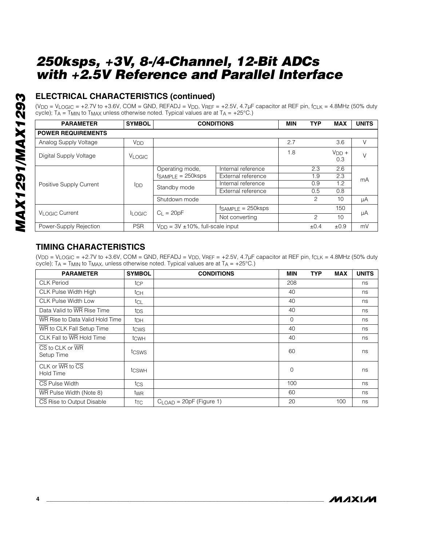# **ELECTRICAL CHARACTERISTICS (continued)**

(V<sub>DD</sub> = V<sub>LOGIC</sub> = +2.7V to +3.6V, COM = GND, REFADJ = V<sub>DD</sub>, V<sub>REF</sub> = +2.5V, 4.7µF capacitor at REF pin, f<sub>CLK</sub> = 4.8MHz (50% duty cycle);  $TA = TMIN$  to  $TMAX$  unless otherwise noted. Typical values are at  $TA = +25^{\circ}C$ .)

| <b>PARAMETER</b>            | <b>SYMBOL</b>         | <b>CONDITIONS</b>                         |                         | <b>MIN</b> | <b>TYP</b>    | <b>MAX</b>     | <b>UNITS</b> |
|-----------------------------|-----------------------|-------------------------------------------|-------------------------|------------|---------------|----------------|--------------|
| <b>POWER REQUIREMENTS</b>   |                       |                                           |                         |            |               |                |              |
| Analog Supply Voltage       | <b>V<sub>DD</sub></b> |                                           |                         | 2.7        |               | 3.6            | V            |
| Digital Supply Voltage      | <b>VLOGIC</b>         |                                           |                         | 1.8        |               | $VDD +$<br>0.3 | V            |
|                             | loo                   | Operating mode,<br>$fsAMPLE = 250ksps$    | Internal reference      |            | 2.3           | 2.6            | mA           |
|                             |                       |                                           | External reference      |            | 1.9           | 2.3            |              |
| Positive Supply Current     |                       | Standby mode                              | Internal reference      |            | 0.9           | 1.2            |              |
|                             |                       |                                           | External reference      |            | 0.5           | 0.8            |              |
|                             |                       | Shutdown mode                             |                         |            | 2             | 10             | μA           |
| V <sub>I</sub> OGIC Current |                       | $C_{L} = 20pF$                            | $f_{SAMPLE} = 250$ ksps |            |               | 150            | μA           |
|                             | <b>LOGIC</b>          |                                           | Not converting          |            | $\mathcal{P}$ | 10             |              |
| Power-Supply Rejection      | <b>PSR</b>            | $V_{DD} = 3V \pm 10\%$ , full-scale input |                         |            | $\pm 0.4$     | ±0.9           | mV           |

### **TIMING CHARACTERISTICS**

( $V_{DD}$  =  $V_{LOGIC}$  = +2.7V to +3.6V, COM = GND, REFADJ =  $V_{DD}$ ,  $V_{REF}$  = +2.5V, 4.7 $\mu$ F capacitor at REF pin, f<sub>CLK</sub> = 4.8MHz (50% duty cycle);  $TA = TMIN$  to  $TMAX$ , unless otherwise noted. Typical values are at  $TA = +25^{\circ}C$ .)

| <b>PARAMETER</b>                                                      | <b>SYMBOL</b>   | <b>CONDITIONS</b>         | <b>MIN</b>     | <b>TYP</b> | <b>MAX</b> | <b>UNITS</b> |
|-----------------------------------------------------------------------|-----------------|---------------------------|----------------|------------|------------|--------------|
| <b>CLK Period</b>                                                     | tcp             |                           | 208            |            |            | ns           |
| CLK Pulse Width High                                                  | tch             |                           | 40             |            |            | ns           |
| <b>CLK Pulse Width Low</b>                                            | tcL             |                           | 40             |            |            | ns           |
| Data Valid to WR Rise Time                                            | tps             |                           | 40             |            |            | ns           |
| WR Rise to Data Valid Hold Time                                       | t <sub>DH</sub> |                           | $\overline{0}$ |            |            | ns           |
| WR to CLK Fall Setup Time                                             | tcws            |                           | 40             |            |            | ns           |
| CLK Fall to WR Hold Time                                              | tcwh            |                           | 40             |            |            | ns           |
| $\overline{\text{CS}}$ to CLK or $\overline{\text{WR}}$<br>Setup Time | tcsws           |                           | 60             |            |            | ns           |
| CLK or $\overline{\text{WR}}$ to $\overline{\text{CS}}$<br>Hold Time  | tcswh           |                           | 0              |            |            | ns           |
| CS Pulse Width                                                        | tcs             |                           | 100            |            |            | ns           |
| WR Pulse Width (Note 8)                                               | twR             |                           | 60             |            |            | ns           |
| CS Rise to Output Disable                                             | tтс             | $CLOAD = 20pF$ (Figure 1) | 20             |            | 100        | ns           |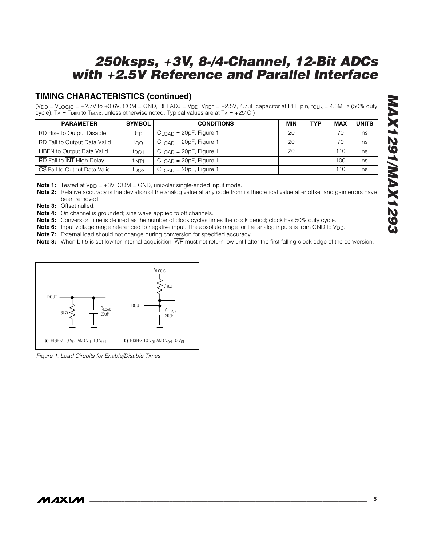### **TIMING CHARACTERISTICS (continued)**

(V<sub>DD</sub> = V<sub>LOGIC</sub> = +2.7V to +3.6V, COM = GND, REFADJ = V<sub>DD</sub>, V<sub>REF</sub> = +2.5V, 4.7µF capacitor at REF pin, f<sub>CLK</sub> = 4.8MHz (50% duty cycle);  $TA = TMIN$  to  $TMAX$ , unless otherwise noted. Typical values are at  $TA = +25^{\circ}C$ .)

| <b>PARAMETER</b>                 | <b>SYMBOL</b>    | <b>CONDITIONS</b>               | <b>MIN</b> | <b>TYP</b> | <b>MAX</b> | <b>UNITS</b> |
|----------------------------------|------------------|---------------------------------|------------|------------|------------|--------------|
| RD Rise to Output Disable        | ttr              | $CLOAD = 20pF$ , Figure 1       | 20         |            | 70         | ns           |
| RD Fall to Output Data Valid     | t <sub>DO</sub>  | $C1$ $\cap$ AD = 20pF, Figure 1 | 20         |            | 70         | ns           |
| <b>HBEN</b> to Output Data Valid | t <sub>DO1</sub> | $CL$ $OAD = 20pF$ , Figure 1    | 20         |            | 110        | ns           |
| RD Fall to INT High Delay        | tint1            | $CL$ $OAD = 20pF$ , Figure 1    |            |            | 100        | ns           |
| CS Fall to Output Data Valid     | t <sub>DO2</sub> | $CLOAD = 20pF$ , Figure 1       |            |            | 110        | ns           |

**Note 1:** Tested at V<sub>DD</sub> = +3V, COM = GND, unipolar single-ended input mode.

**Note 2:** Relative accuracy is the deviation of the analog value at any code from its theoretical value after offset and gain errors have been removed.

**Note 3:** Offset nulled.

**Note 4:** On channel is grounded; sine wave applied to off channels.

**Note 5:** Conversion time is defined as the number of clock cycles times the clock period; clock has 50% duty cycle.

**Note 6:** Input voltage range referenced to negative input. The absolute range for the analog inputs is from GND to V<sub>DD</sub>.

**Note 7:** External load should not change during conversion for specified accuracy.

**Note 8:** When bit 5 is set low for internal acquisition,  $\overline{WR}$  must not return low until after the first falling clock edge of the conversion.



*Figure 1. Load Circuits for Enable/Disable Times*

### **MAXIM**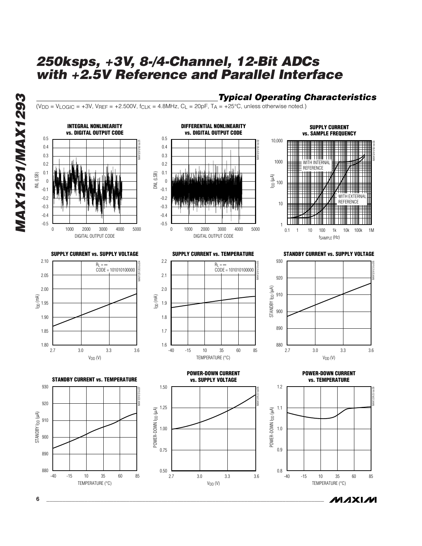*Typical Operating Characteristics*

**MAXIM** 

 $(V_{DD} = V_{LOGIC} = +3V$ ,  $V_{REF} = +2.500V$ ,  $f_{CLK} = 4.8MHz$ ,  $C_L = 20pF$ ,  $T_A = +25°C$ , unless otherwise noted.)



*MAX1291/MAX1293* MAX1291/MAX1293

**6 \_\_\_\_\_\_\_\_\_\_\_\_\_\_\_\_\_\_\_\_\_\_\_\_\_\_\_\_\_\_\_\_\_\_\_\_\_\_\_\_\_\_\_\_\_\_\_\_\_\_\_\_\_\_\_\_\_\_\_\_\_\_\_\_\_\_\_\_\_\_\_\_\_\_\_\_\_\_\_\_\_\_\_\_\_\_\_**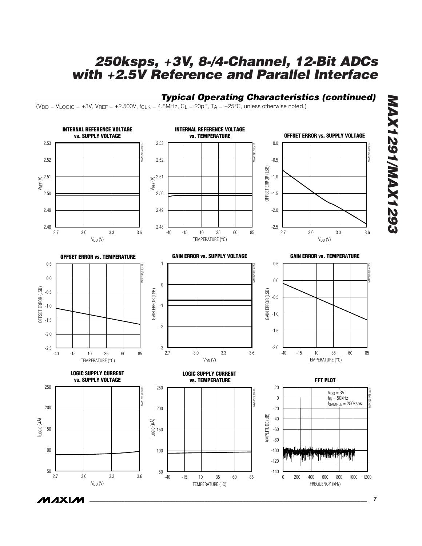### *Typical Operating Characteristics (continued)*

 $(V_{DD} = V_{LOGIC} = +3V$ ,  $V_{REF} = +2.500V$ ,  $f_{CLK} = 4.8MHz$ ,  $C_L = 20pF$ ,  $T_A = +25°C$ , unless otherwise noted.)



**MAXM** 

*MAX1291/MAX1293*

**MAX1291/MAX1293**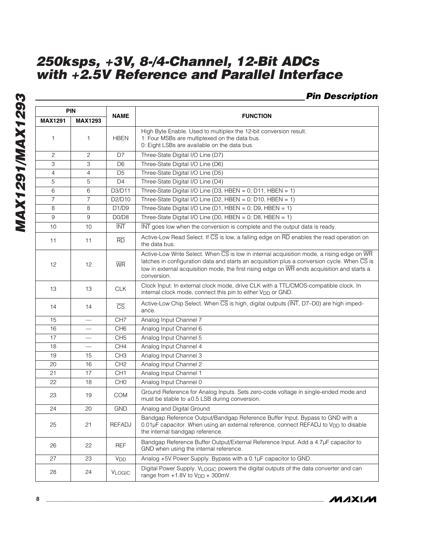### *Pin Description*

| <b>PIN</b>     |                          |                        |                                                                                                                                                                                                                                                                                                                                                                    |
|----------------|--------------------------|------------------------|--------------------------------------------------------------------------------------------------------------------------------------------------------------------------------------------------------------------------------------------------------------------------------------------------------------------------------------------------------------------|
| <b>MAX1291</b> | <b>MAX1293</b>           | <b>NAME</b>            | <b>FUNCTION</b>                                                                                                                                                                                                                                                                                                                                                    |
| 1              | 1                        | <b>HBEN</b>            | High Byte Enable. Used to multiplex the 12-bit conversion result.<br>1: Four MSBs are multiplexed on the data bus.<br>0: Eight LSBs are available on the data bus.                                                                                                                                                                                                 |
| $\overline{c}$ | $\mathbf{2}$             | D7                     | Three-State Digital I/O Line (D7)                                                                                                                                                                                                                                                                                                                                  |
| 3              | 3                        | D <sub>6</sub>         | Three-State Digital I/O Line (D6)                                                                                                                                                                                                                                                                                                                                  |
| $\overline{4}$ | 4                        | D <sub>5</sub>         | Three-State Digital I/O Line (D5)                                                                                                                                                                                                                                                                                                                                  |
| 5              | 5                        | D <sub>4</sub>         | Three-State Digital I/O Line (D4)                                                                                                                                                                                                                                                                                                                                  |
| 6              | 6                        | D3/D11                 | Three-State Digital I/O Line (D3, HBEN = 0; D11, HBEN = 1)                                                                                                                                                                                                                                                                                                         |
| $\overline{7}$ | $\overline{7}$           | D2/D10                 | Three-State Digital I/O Line (D2, HBEN = 0; D10, HBEN = 1)                                                                                                                                                                                                                                                                                                         |
| 8              | 8                        | D1/D9                  | Three-State Digital I/O Line (D1, HBEN = 0; D9, HBEN = 1)                                                                                                                                                                                                                                                                                                          |
| 9              | 9                        | D0/D8                  | Three-State Digital I/O Line (D0, HBEN = 0; D8, HBEN = 1)                                                                                                                                                                                                                                                                                                          |
| 10             | 10                       | <b>INT</b>             | INT goes low when the conversion is complete and the output data is ready.                                                                                                                                                                                                                                                                                         |
| 11             | 11                       | $\overline{RD}$        | Active-Low Read Select. If CS is low, a falling edge on RD enables the read operation on<br>the data bus.                                                                                                                                                                                                                                                          |
| 12             | 12                       | <b>WR</b>              | Active-Low Write Select. When $\overline{\text{CS}}$ is low in internal acquisition mode, a rising edge on $\overline{\text{WR}}$<br>latches in configuration data and starts an acquisition plus a conversion cycle. When $\overline{\text{CS}}$ is<br>low in external acquisition mode, the first rising edge on WR ends acquisition and starts a<br>conversion. |
| 13             | 13                       | <b>CLK</b>             | Clock Input. In external clock mode, drive CLK with a TTL/CMOS-compatible clock. In<br>internal clock mode, connect this pin to either V <sub>DD</sub> or GND.                                                                                                                                                                                                     |
| 14             | 14                       | $\overline{\text{CS}}$ | Active-Low Chip Select. When $\overline{CS}$ is high, digital outputs (INT, D7-D0) are high imped-<br>ance.                                                                                                                                                                                                                                                        |
| 15             | $\overline{\phantom{0}}$ | CH <sub>7</sub>        | Analog Input Channel 7                                                                                                                                                                                                                                                                                                                                             |
| 16             |                          | CH <sub>6</sub>        | Analog Input Channel 6                                                                                                                                                                                                                                                                                                                                             |
| 17             |                          | CH <sub>5</sub>        | Analog Input Channel 5                                                                                                                                                                                                                                                                                                                                             |
| 18             |                          | CH <sub>4</sub>        | Analog Input Channel 4                                                                                                                                                                                                                                                                                                                                             |
| 19             | 15                       | CH <sub>3</sub>        | Analog Input Channel 3                                                                                                                                                                                                                                                                                                                                             |
| 20             | 16                       | CH <sub>2</sub>        | Analog Input Channel 2                                                                                                                                                                                                                                                                                                                                             |
| 21             | 17                       | CH <sub>1</sub>        | Analog Input Channel 1                                                                                                                                                                                                                                                                                                                                             |
| 22             | 18                       | CH <sub>0</sub>        | Analog Input Channel 0                                                                                                                                                                                                                                                                                                                                             |
| 23             | 19                       | <b>COM</b>             | Ground Reference for Analog Inputs. Sets zero-code voltage in single-ended mode and<br>must be stable to ±0.5 LSB during conversion.                                                                                                                                                                                                                               |
| 24             | 20                       | <b>GND</b>             | Analog and Digital Ground                                                                                                                                                                                                                                                                                                                                          |
| 25             | 21                       | <b>REFADJ</b>          | Bandgap Reference Output/Bandgap Reference Buffer Input. Bypass to GND with a<br>0.01µF capacitor. When using an external reference, connect REFADJ to V <sub>DD</sub> to disable<br>the internal bandgap reference.                                                                                                                                               |
| 26             | 22                       | REF                    | Bandgap Reference Buffer Output/External Reference Input. Add a 4.7µF capacitor to<br>GND when using the internal reference.                                                                                                                                                                                                                                       |
| 27             | 23                       | <b>V<sub>DD</sub></b>  | Analog +5V Power Supply. Bypass with a 0.1µF capacitor to GND.                                                                                                                                                                                                                                                                                                     |
| 28             | 24                       | <b>VLOGIC</b>          | Digital Power Supply. VLOGIC powers the digital outputs of the data converter and can<br>range from $+1.8V$ to $V_{DD} + 300$ mV.                                                                                                                                                                                                                                  |

**MAXIM**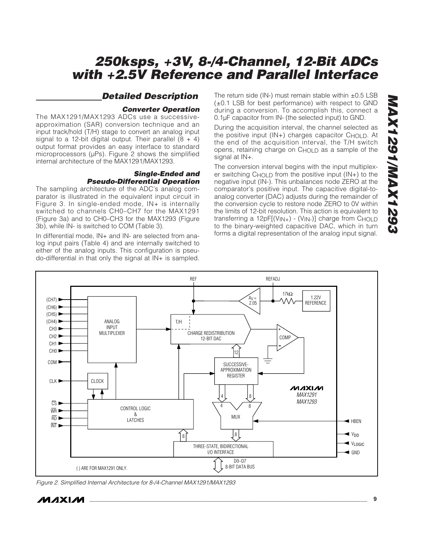### *Detailed Description*

#### *Converter Operation*

The MAX1291/MAX1293 ADCs use a successiveapproximation (SAR) conversion technique and an input track/hold (T/H) stage to convert an analog input signal to a 12-bit digital output. Their parallel  $(8 + 4)$ output format provides an easy interface to standard microprocessors (µPs). Figure 2 shows the simplified internal architecture of the MAX1291/MAX1293.

#### *Single-Ended and Pseudo-Differential Operation*

The sampling architecture of the ADC's analog comparator is illustrated in the equivalent input circuit in Figure 3. In single-ended mode, IN+ is internally switched to channels CH0–CH7 for the MAX1291 (Figure 3a) and to CH0–CH3 for the MAX1293 (Figure 3b), while IN- is switched to COM (Table 3).

In differential mode, IN+ and IN- are selected from analog input pairs (Table 4) and are internally switched to either of the analog inputs. This configuration is pseudo-differential in that only the signal at IN+ is sampled. The return side (IN-) must remain stable within  $\pm 0.5$  LSB (±0.1 LSB for best performance) with respect to GND during a conversion. To accomplish this, connect a 0.1µF capacitor from IN- (the selected input) to GND.

During the acquisition interval, the channel selected as the positive input (IN+) charges capacitor C<sub>HOLD</sub>. At the end of the acquisition interval, the T/H switch opens, retaining charge on CHOLD as a sample of the signal at IN+.

The conversion interval begins with the input multiplexer switching  $C$ HOLD from the positive input  $(IN<sub>+</sub>)$  to the negative input (IN-). This unbalances node ZERO at the comparator's positive input. The capacitive digital-toanalog converter (DAC) adjusts during the remainder of the conversion cycle to restore node ZERO to 0V within the limits of 12-bit resolution. This action is equivalent to transferring a 12pF[(VIN+) - (VIN-)] charge from CHOLD to the binary-weighted capacitive DAC, which in turn forms a digital representation of the analog input signal.



*Figure 2. Simplified Internal Architecture for 8-/4-Channel MAX1291/MAX1293*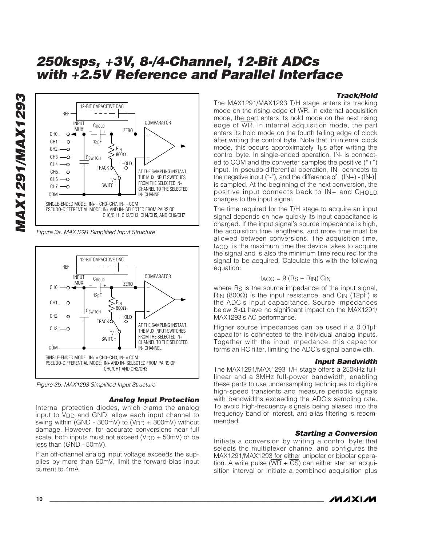### *Track/Hold*



*Figure 3a. MAX1291 Simplified Input Structure*



*Figure 3b. MAX1293 Simplified Input Structure*

### *Analog Input Protection*

Internal protection diodes, which clamp the analog input to V<sub>DD</sub> and GND, allow each input channel to swing within (GND - 300mV) to ( $VDD + 300$ mV) without damage. However, for accurate conversions near full scale, both inputs must not exceed  $(V_{DD} + 50$ mV) or be less than (GND - 50mV).

If an off-channel analog input voltage exceeds the supplies by more than 50mV, limit the forward-bias input current to 4mA.

The MAX1291/MAX1293 T/H stage enters its tracking mode on the rising edge of  $\overline{WR}$ . In external acquisition mode, the part enters its hold mode on the next rising edge of  $\overline{WR}$ . In internal acquisition mode, the part enters its hold mode on the fourth falling edge of clock after writing the control byte. Note that, in internal clock mode, this occurs approximately 1µs after writing the control byte. In single-ended operation, IN- is connected to COM and the converter samples the positive ("+") input. In pseudo-differential operation, IN- connects to the negative input ("-"), and the difference of  $|(IN+) - (IN-)|$ is sampled. At the beginning of the next conversion, the positive input connects back to IN+ and CHOLD charges to the input signal.

The time required for the T/H stage to acquire an input signal depends on how quickly its input capacitance is charged. If the input signal's source impedance is high, the acquisition time lengthens, and more time must be allowed between conversions. The acquisition time, tACQ, is the maximum time the device takes to acquire the signal and is also the minimum time required for the signal to be acquired. Calculate this with the following equation:

#### $t_{ACO} = 9$  (Rs + R<sub>IN</sub>) C<sub>IN</sub>

where R<sub>S</sub> is the source impedance of the input signal, R<sub>IN</sub> (800Ω) is the input resistance, and C<sub>IN</sub> (12pF) is the ADC's input capacitance. Source impedances below 3kΩ have no significant impact on the MAX1291/ MAX1293's AC performance.

Higher source impedances can be used if a 0.01µF capacitor is connected to the individual analog inputs. Together with the input impedance, this capacitor forms an RC filter, limiting the ADC's signal bandwidth.

#### *Input Bandwidth*

The MAX1291/MAX1293 T/H stage offers a 250kHz fulllinear and a 3MHz full-power bandwidth, enabling these parts to use undersampling techniques to digitize high-speed transients and measure periodic signals with bandwidths exceeding the ADC's sampling rate. To avoid high-frequency signals being aliased into the frequency band of interest, anti-alias filtering is recommended.

### *Starting a Conversion*

Initiate a conversion by writing a control byte that selects the multiplexer channel and configures the MAX1291/MAX1293 for either unipolar or bipolar operation. A write pulse  $(WR + \overline{CS})$  can either start an acquisition interval or initiate a combined acquisition plus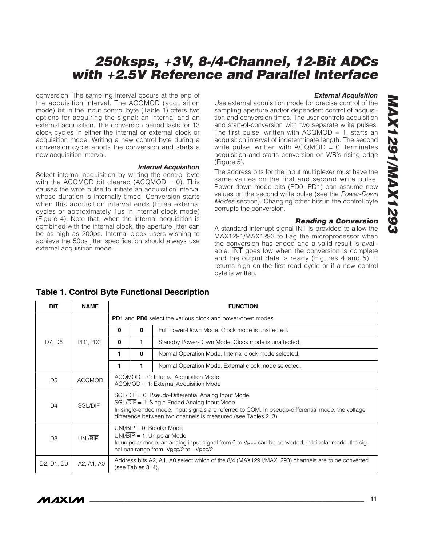conversion. The sampling interval occurs at the end of the acquisition interval. The ACQMOD (acquisition mode) bit in the input control byte (Table 1) offers two options for acquiring the signal: an internal and an external acquisition. The conversion period lasts for 13 clock cycles in either the internal or external clock or acquisition mode. Writing a new control byte during a conversion cycle aborts the conversion and starts a new acquisition interval.

#### *Internal Acquisition*

Select internal acquisition by writing the control byte with the ACQMOD bit cleared (ACQMOD =  $0$ ). This causes the write pulse to initiate an acquisition interval whose duration is internally timed. Conversion starts when this acquisition interval ends (three external cycles or approximately 1µs in internal clock mode) (Figure 4). Note that, when the internal acquisition is combined with the internal clock, the aperture jitter can be as high as 200ps. Internal clock users wishing to achieve the 50ps jitter specification should always use external acquisition mode.

#### *External Acquisition*

Use external acquisition mode for precise control of the sampling aperture and/or dependent control of acquisition and conversion times. The user controls acquisition and start-of-conversion with two separate write pulses. The first pulse, written with  $ACQMOD = 1$ , starts an acquisition interval of indeterminate length. The second write pulse, written with  $ACQMOD = 0$ , terminates acquisition and starts conversion on WR's rising edge (Figure 5).

The address bits for the input multiplexer must have the same values on the first and second write pulse. Power-down mode bits (PD0, PD1) can assume new values on the second write pulse (see the *Power-Down Modes* section). Changing other bits in the control byte corrupts the conversion.

#### *Reading a Conversion*

A standard interrupt signal INT is provided to allow the MAX1291/MAX1293 to flag the microprocessor when the conversion has ended and a valid result is available.  $\overline{\text{INT}}$  goes low when the conversion is complete and the output data is ready (Figures 4 and 5). It returns high on the first read cycle or if a new control byte is written.

| <b>BIT</b>                                       | <b>NAME</b>    |                                                                          | <b>FUNCTION</b>                                                                                                                                                                                                                                                             |                                                      |  |              |                                                      |  |
|--------------------------------------------------|----------------|--------------------------------------------------------------------------|-----------------------------------------------------------------------------------------------------------------------------------------------------------------------------------------------------------------------------------------------------------------------------|------------------------------------------------------|--|--------------|------------------------------------------------------|--|
|                                                  |                | <b>PD1</b> and <b>PD0</b> select the various clock and power-down modes. |                                                                                                                                                                                                                                                                             |                                                      |  |              |                                                      |  |
|                                                  |                | 0                                                                        | $\mathbf{0}$                                                                                                                                                                                                                                                                | Full Power-Down Mode. Clock mode is unaffected.      |  |              |                                                      |  |
| D7, D6                                           | PD1, PD0       | 0                                                                        | 1                                                                                                                                                                                                                                                                           | Standby Power-Down Mode. Clock mode is unaffected.   |  |              |                                                      |  |
|                                                  |                |                                                                          |                                                                                                                                                                                                                                                                             | 1                                                    |  | $\mathbf{0}$ | Normal Operation Mode. Internal clock mode selected. |  |
|                                                  |                | 1                                                                        | 1                                                                                                                                                                                                                                                                           | Normal Operation Mode. External clock mode selected. |  |              |                                                      |  |
| D <sub>5</sub>                                   | <b>ACQMOD</b>  |                                                                          | $ACQMOD = 0$ : Internal Acquisition Mode<br>ACQMOD = 1: External Acquisition Mode                                                                                                                                                                                           |                                                      |  |              |                                                      |  |
| D <sub>4</sub>                                   | <b>SGL/DIF</b> |                                                                          | SGL/DIF = 0: Pseudo-Differential Analog Input Mode<br>$SGL/DIF = 1$ : Single-Ended Analog Input Mode<br>In single-ended mode, input signals are referred to COM. In pseudo-differential mode, the voltage<br>difference between two channels is measured (see Tables 2, 3). |                                                      |  |              |                                                      |  |
| D <sub>3</sub>                                   | UNI/BIP        |                                                                          | $UNI/BIP = 0$ : Bipolar Mode<br>$UNI/BIP = 1$ : Unipolar Mode<br>In unipolar mode, an analog input signal from 0 to $V_{REF}$ can be converted; in bipolar mode, the sig-<br>nal can range from -VREF/2 to +VREF/2.                                                         |                                                      |  |              |                                                      |  |
| D <sub>2</sub> , D <sub>1</sub> , D <sub>0</sub> | A2, A1, A0     |                                                                          | Address bits A2, A1, A0 select which of the 8/4 (MAX1291/MAX1293) channels are to be converted<br>(see Tables 3, 4).                                                                                                                                                        |                                                      |  |              |                                                      |  |

### **Table 1. Control Byte Functional Description**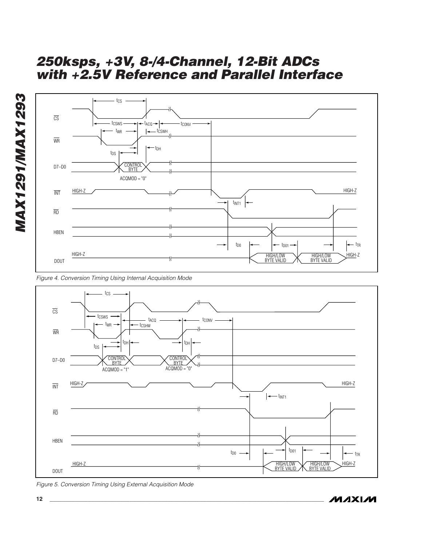

*Figure 4. Conversion Timing Using Internal Acquisition Mode*



*Figure 5. Conversion Timing Using External Acquisition Mode*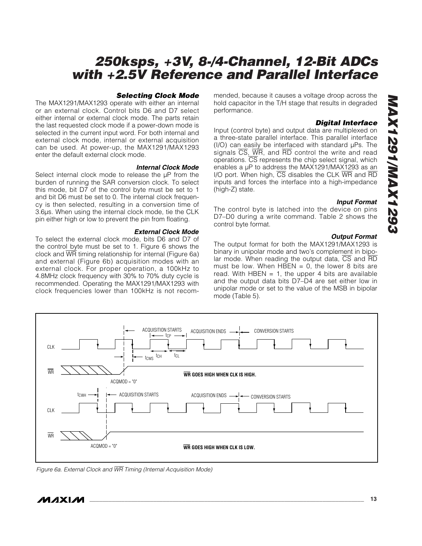#### *Selecting Clock Mode*

The MAX1291/MAX1293 operate with either an internal or an external clock. Control bits D6 and D7 select either internal or external clock mode. The parts retain the last requested clock mode if a power-down mode is selected in the current input word. For both internal and external clock mode, internal or external acquisition can be used. At power-up, the MAX1291/MAX1293 enter the default external clock mode.

#### *Internal Clock Mode*

Select internal clock mode to release the  $\mu$ P from the burden of running the SAR conversion clock. To select this mode, bit D7 of the control byte must be set to 1 and bit D6 must be set to 0. The internal clock frequency is then selected, resulting in a conversion time of 3.6µs. When using the internal clock mode, tie the CLK pin either high or low to prevent the pin from floating.

#### *External Clock Mode*

To select the external clock mode, bits D6 and D7 of the control byte must be set to 1. Figure 6 shows the clock and WR timing relationship for internal (Figure 6a) and external (Figure 6b) acquisition modes with an external clock. For proper operation, a 100kHz to 4.8MHz clock frequency with 30% to 70% duty cycle is recommended. Operating the MAX1291/MAX1293 with clock frequencies lower than 100kHz is not recommended, because it causes a voltage droop across the hold capacitor in the T/H stage that results in degraded performance.

### *Digital Interface*

Input (control byte) and output data are multiplexed on a three-state parallel interface. This parallel interface (I/O) can easily be interfaced with standard µPs. The signals  $\overline{CS}$ ,  $\overline{WR}$ , and  $\overline{RD}$  control the write and read operations. CS represents the chip select signal, which enables a µP to address the MAX1291/MAX1293 as an I/O port. When high,  $\overline{CS}$  disables the CLK  $\overline{WR}$  and  $\overline{RD}$ inputs and forces the interface into a high-impedance (high-Z) state.

#### *Input Format*

The control byte is latched into the device on pins D7–D0 during a write command. Table 2 shows the control byte format.

#### *Output Format*

The output format for both the MAX1291/MAX1293 is binary in unipolar mode and two's complement in bipolar mode. When reading the output data,  $\overline{CS}$  and  $\overline{RD}$ must be low. When  $H\overline{B}EN = 0$ , the lower 8 bits are read. With HBEN  $= 1$ , the upper 4 bits are available and the output data bits D7–D4 are set either low in unipolar mode or set to the value of the MSB in bipolar mode (Table 5).



*Figure 6a. External Clock and* WR *Timing (Internal Acquisition Mode)*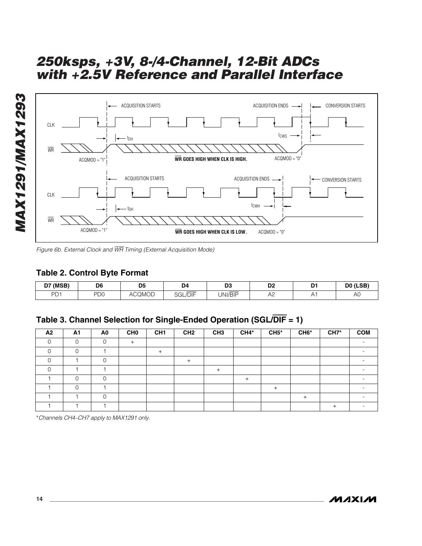





### **Table 2. Control Byte Format**

| <b>D7 (MSB)</b> | D6<br>___ | DE<br>υJ      | D <sub>4</sub>        | no.<br>υJ             | n <sub>o</sub><br>ש           | n.<br>-      | DO (LSB)<br>___    |
|-----------------|-----------|---------------|-----------------------|-----------------------|-------------------------------|--------------|--------------------|
| DD 1<br>◡       | nn o<br>◡ | <b>ACQMOD</b> | ___<br><b>SGL/DIF</b> | $-$<br><b>JNI/BIF</b> | $\overline{\phantom{0}}$<br>∼ | $\mathbf{v}$ | $\sim$<br>Δ۱<br>¬∪ |

### **Table 3. Channel Selection for Single-Ended Operation (SGL/**DIF **= 1)**

| A2 | A1     | A <sub>0</sub> | CH <sub>0</sub> | CH <sub>1</sub> | CH <sub>2</sub> | CH <sub>3</sub> | $CH4*$ | $CH5*$ | CH <sub>6</sub> * | CH7* | <b>COM</b> |
|----|--------|----------------|-----------------|-----------------|-----------------|-----------------|--------|--------|-------------------|------|------------|
|    | $\sim$ | ∩              |                 |                 |                 |                 |        |        |                   |      |            |
|    |        |                |                 |                 |                 |                 |        |        |                   |      |            |
|    |        | ◠              |                 |                 | +               |                 |        |        |                   |      |            |
|    |        |                |                 |                 |                 | $^{+}$          |        |        |                   |      |            |
|    |        | ∩              |                 |                 |                 |                 |        |        |                   |      |            |
|    | ⌒      |                |                 |                 |                 |                 |        |        |                   |      |            |
|    |        | ∩              |                 |                 |                 |                 |        |        |                   |      |            |
|    |        |                |                 |                 |                 |                 |        |        |                   |      |            |

\**Channels CH4–CH7 apply to MAX1291 only.*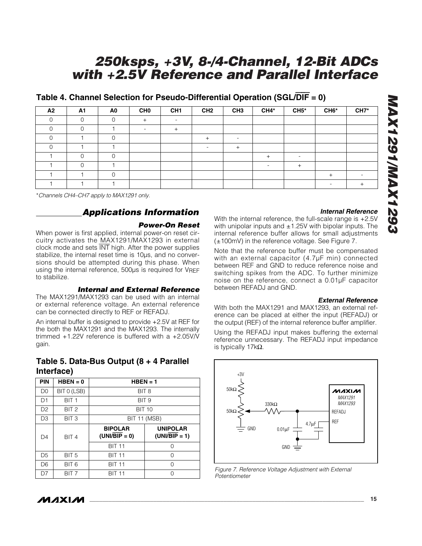*MAX1291/MAX1293 EGZIXVWIIGZIXVW* 

# *250ksps, +3V, 8-/4-Channel, 12-Bit ADCs with +2.5V Reference and Parallel Interface*

**CH2 CH4\***

**CH1 CH6\* CH7\***

**CH3**

### **Table 4. Channel Selection for Pseudo-Differential Operation (SGL/**DIF **= 0)**

1 | 0 | 0 | | | | | | | | | | | 1 0 1 1 | | | | | | | +

**A1 CH0** 0 0 0 + 0 -**A0**

0 1 -

0 0 1 - +

\**Channels CH4–CH7 apply to MAX1291 only.*

 $0 \qquad \qquad 0$ 

1

0

**A2**

# *Applications Information*

0 1 - +

### *Power-On Reset*

1 0 1 + -

When power is first applied, internal power-on reset circuitry activates the MAX1291/MAX1293 in external clock mode and sets INT high. After the power supplies stabilize, the internal reset time is 10µs, and no conversions should be attempted during this phase. When using the internal reference, 500µs is required for VREF to stabilize.

### *Internal and External Reference*

The MAX1291/MAX1293 can be used with an internal or external reference voltage. An external reference can be connected directly to REF or REFADJ.

An internal buffer is designed to provide +2.5V at REF for the both the MAX1291 and the MAX1293. The internally trimmed +1.22V reference is buffered with a +2.05V/V gain.

### **Table 5. Data-Bus Output (8 + 4 Parallel Interface)**  $\qquad \qquad$

| <b>PIN</b>     | $HBEN = 0$       | $HBEN = 1$                        |                                    |  |  |  |
|----------------|------------------|-----------------------------------|------------------------------------|--|--|--|
| D <sub>0</sub> | BIT 0 (LSB)      | BIT <sub>8</sub>                  |                                    |  |  |  |
| D1             | BIT <sub>1</sub> | BIT <sub>9</sub>                  |                                    |  |  |  |
| D <sub>2</sub> | BIT <sub>2</sub> | <b>BIT 10</b>                     |                                    |  |  |  |
| D3             | BIT <sub>3</sub> | <b>BIT 11 (MSB)</b>               |                                    |  |  |  |
| D4             | BIT <sub>4</sub> | <b>BIPOLAR</b><br>$(UNI/BIP = 0)$ | <b>UNIPOLAR</b><br>$(UNI/BIP = 1)$ |  |  |  |
|                |                  | <b>BIT 11</b>                     | Ω                                  |  |  |  |
| D5             | BIT <sub>5</sub> | <b>BIT 11</b>                     | 0                                  |  |  |  |
| D <sub>6</sub> | BIT 6            | <b>BIT 11</b>                     | 0                                  |  |  |  |
| D7             | BIT <sub>7</sub> | <b>BIT 11</b>                     | U                                  |  |  |  |

### *Internal Reference*

+

With the internal reference, the full-scale range is +2.5V with unipolar inputs and  $\pm$ 1.25V with bipolar inputs. The internal reference buffer allows for small adjustments (±100mV) in the reference voltage. See Figure 7.

**CH5\***

Note that the reference buffer must be compensated with an external capacitor (4.7µF min) connected between REF and GND to reduce reference noise and switching spikes from the ADC. To further minimize noise on the reference, connect a 0.01µF capacitor between REFADJ and GND.

### *External Reference*

With both the MAX1291 and MAX1293, an external reference can be placed at either the input (REFADJ) or the output (REF) of the internal reference buffer amplifier.

Using the REFADJ input makes buffering the external reference unnecessary. The REFADJ input impedance is typically 17kΩ.



*Figure 7. Reference Voltage Adjustment with External Potentiometer*

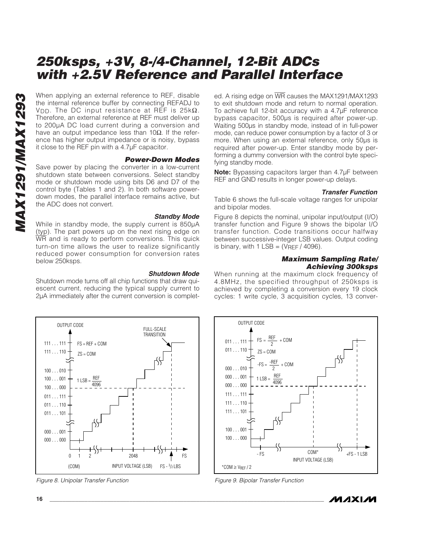When applying an external reference to REF, disable<br>the internal reference buffer by connecting REFADJ to<br>Therefore, an external reference at REF is 25KΩ.<br>Therefore, an external reference at REF must deliver up<br>to 200µA D the internal reference buffer by connecting REFADJ to VDD. The DC input resistance at REF is  $25k\Omega$ . Therefore, an external reference at REF must deliver up to 200µA DC load current during a conversion and have an output impedance less than 10 $\Omega$ . If the reference has higher output impedance or is noisy, bypass it close to the REF pin with a 4.7µF capacitor.

#### *Power-Down Modes*

Save power by placing the converter in a low-current shutdown state between conversions. Select standby mode or shutdown mode using bits D6 and D7 of the control byte (Tables 1 and 2). In both software powerdown modes, the parallel interface remains active, but the ADC does not convert.

#### *Standby Mode*

While in standby mode, the supply current is 850µA (typ). The part powers up on the next rising edge on WR and is ready to perform conversions. This quick turn-on time allows the user to realize significantly reduced power consumption for conversion rates below 250ksps.

#### *Shutdown Mode*

Shutdown mode turns off all chip functions that draw quiescent current, reducing the typical supply current to 2µA immediately after the current conversion is complet-



*Figure 8. Unipolar Transfer Function*

ed. A rising edge on WR causes the MAX1291/MAX1293 to exit shutdown mode and return to normal operation. To achieve full 12-bit accuracy with a 4.7µF reference bypass capacitor, 500µs is required after power-up. Waiting 500µs in standby mode, instead of in full-power mode, can reduce power consumption by a factor of 3 or more. When using an external reference, only 50µs is required after power-up. Enter standby mode by performing a dummy conversion with the control byte specifying standby mode.

**Note:** Bypassing capacitors larger than 4.7µF between REF and GND results in longer power-up delays.

#### *Transfer Function*

Table 6 shows the full-scale voltage ranges for unipolar and bipolar modes.

Figure 8 depicts the nominal, unipolar input/output (I/O) transfer function and Figure 9 shows the bipolar I/O transfer function. Code transitions occur halfway between successive-integer LSB values. Output coding is binary, with  $1$  LSB = (VREF / 4096).

### *Maximum Sampling Rate/ Achieving 300ksps*

When running at the maximum clock frequency of 4.8MHz, the specified throughput of 250ksps is achieved by completing a conversion every 19 clock cycles: 1 write cycle, 3 acquisition cycles, 13 conver-



*Figure 9. Bipolar Transfer Function*

**MAXIM**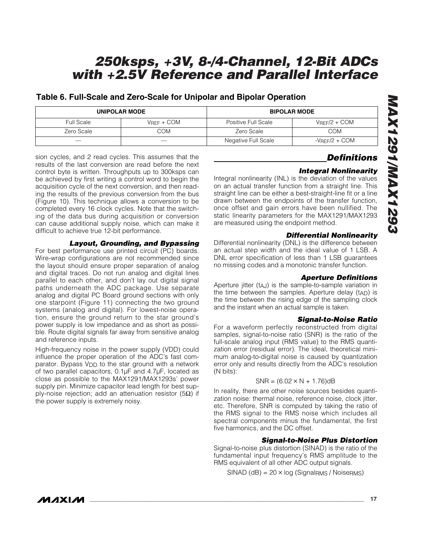### **Table 6. Full-Scale and Zero-Scale for Unipolar and Bipolar Operation**

|                          | <b>UNIPOLAR MODE</b> | <b>BIPOLAR MODE</b> |                     |  |  |
|--------------------------|----------------------|---------------------|---------------------|--|--|
| <b>Full Scale</b>        | $V$ RFF + $COM$      | Positive Full Scale | $V$ RFF $/2$ + COM  |  |  |
| Zero Scale               | COM                  | Zero Scale          | COM                 |  |  |
| $\overline{\phantom{a}}$ |                      | Negative Full Scale | $-V$ RFF $/2$ + COM |  |  |

sion cycles, and 2 read cycles. This assumes that the results of the last conversion are read before the next control byte is written. Throughputs up to 300ksps can be achieved by first writing a control word to begin the acquisition cycle of the next conversion, and then reading the results of the previous conversion from the bus (Figure 10). This technique allows a conversion to be completed every 16 clock cycles. Note that the switching of the data bus during acquisition or conversion can cause additional supply noise, which can make it difficult to achieve true 12-bit performance.

#### *Layout, Grounding, and Bypassing*

For best performance use printed circuit (PC) boards. Wire-wrap configurations are not recommended since the layout should ensure proper separation of analog and digital traces. Do not run analog and digital lines parallel to each other, and don't lay out digital signal paths underneath the ADC package. Use separate analog and digital PC Board ground sections with only one starpoint (Figure 11) connecting the two ground systems (analog and digital). For lowest-noise operation, ensure the ground return to the star ground's power supply is low impedance and as short as possible. Route digital signals far away from sensitive analog and reference inputs.

High-frequency noise in the power supply (VDD) could influence the proper operation of the ADC's fast comparator. Bypass V<sub>DD</sub> to the star ground with a network of two parallel capacitors, 0.1µF and 4.7µF, located as close as possible to the MAX1291/MAX1293s' power supply pin. Minimize capacitor lead length for best supply-noise rejection; add an attenuation resistor (5 $Ω$ ) if the power supply is extremely noisy.

### *Definitions*

### *Integral Nonlinearity*

Integral nonlinearity (INL) is the deviation of the values on an actual transfer function from a straight line. This straight line can be either a best-straight-line fit or a line drawn between the endpoints of the transfer function, once offset and gain errors have been nullified. The static linearity parameters for the MAX1291/MAX1293 are measured using the endpoint method.

### *Differential Nonlinearity*

Differential nonlinearity (DNL) is the difference between an actual step width and the ideal value of 1 LSB. A DNL error specification of less than 1 LSB guarantees no missing codes and a monotonic transfer function.

### *Aperture Definitions*

Aperture jitter (tAJ) is the sample-to-sample variation in the time between the samples. Aperture delay (tAD) is the time between the rising edge of the sampling clock and the instant when an actual sample is taken.

### *Signal-to-Noise Ratio*

For a waveform perfectly reconstructed from digital samples, signal-to-noise ratio (SNR) is the ratio of the full-scale analog input (RMS value) to the RMS quantization error (residual error). The ideal, theoretical minimum analog-to-digital noise is caused by quantization error only and results directly from the ADC's resolution (N bits):

#### $SNR = (6.02 \times N + 1.76)dB$

In reality, there are other noise sources besides quantization noise: thermal noise, reference noise, clock jitter, etc. Therefore, SNR is computed by taking the ratio of the RMS signal to the RMS noise which includes all spectral components minus the fundamental, the first five harmonics, and the DC offset.

### *Signal-to-Noise Plus Distortion*

Signal-to-noise plus distortion (SINAD) is the ratio of the fundamental input frequency's RMS amplitude to the RMS equivalent of all other ADC output signals.

 $SINAD$  (dB) = 20  $\times$  log (Signal<sub>RMS</sub> / Noise<sub>RMS</sub>)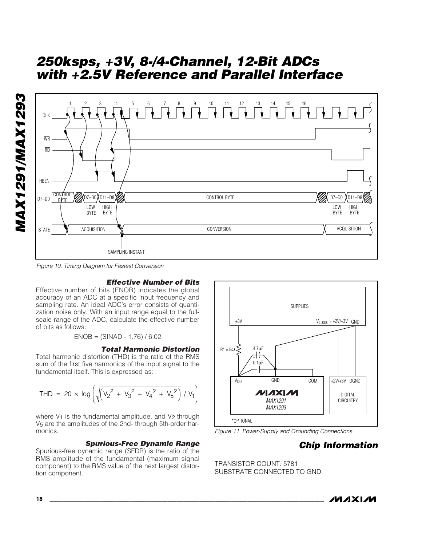

*Figure 10. Timing Diagram for Fastest Conversion*

### *Effective Number of Bits*

Effective number of bits (ENOB) indicates the global accuracy of an ADC at a specific input frequency and sampling rate. An ideal ADC's error consists of quantization noise only. With an input range equal to the fullscale range of the ADC, calculate the effective number of bits as follows:

 $ENOB = (SINAD - 1.76) / 6.02$ 

#### *Total Harmonic Distortion*

Total harmonic distortion (THD) is the ratio of the RMS sum of the first five harmonics of the input signal to the fundamental itself. This is expressed as:

$$
\text{THD} = 20 \times \log \left( \sqrt{\left( V_2^2 + V_3^2 + V_4^2 + V_5^2 \right)} / V_1 \right)
$$

where  $V_1$  is the fundamental amplitude, and  $V_2$  through V5 are the amplitudes of the 2nd- through 5th-order harmonics.

#### *Spurious-Free Dynamic Range*

Spurious-free dynamic range (SFDR) is the ratio of the RMS amplitude of the fundamental (maximum signal component) to the RMS value of the next largest distortion component.



*Figure 11. Power-Supply and Grounding Connections*

### *Chip Information*

TRANSISTOR COUNT: 5781 SUBSTRATE CONNECTED TO GND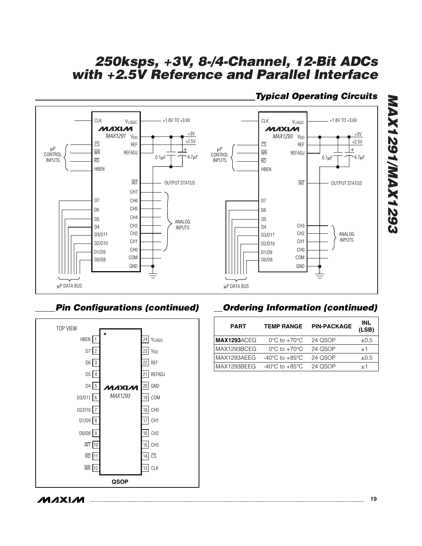

# *Typical Operating Circuits*

### *Pin Configurations (continued)*



# *Ordering Information (continued)*

| <b>PART</b>        | <b>TEMP RANGE</b>                  | <b>PIN-PACKAGE</b> | INL<br>(LSB) |
|--------------------|------------------------------------|--------------------|--------------|
| <b>MAX1293ACEG</b> | $0^{\circ}$ C to $+70^{\circ}$ C   | 24 QSOP            | $\pm 0.5$    |
| MAX1293BCEG        | $0^{\circ}$ C to $+70^{\circ}$ C   | 24 QSOP            | $+1$         |
| MAX1293AEEG        | $-40^{\circ}$ C to $+85^{\circ}$ C | 24 QSOP            | $\pm 0.5$    |
| MAX1293BEEG        | $-40^{\circ}$ C to $+85^{\circ}$ C | 24 QSOP            | $+1$         |